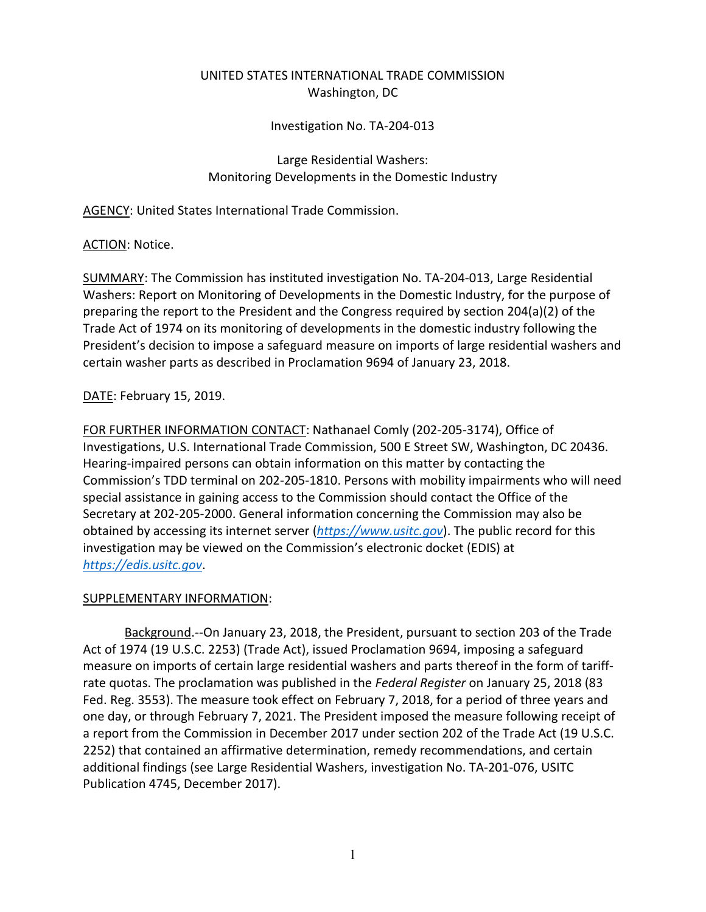# UNITED STATES INTERNATIONAL TRADE COMMISSION Washington, DC

#### Investigation No. TA-204-013

#### Large Residential Washers: Monitoring Developments in the Domestic Industry

AGENCY: United States International Trade Commission.

## ACTION: Notice.

SUMMARY: The Commission has instituted investigation No. TA-204-013, Large Residential Washers: Report on Monitoring of Developments in the Domestic Industry, for the purpose of preparing the report to the President and the Congress required by section 204(a)(2) of the Trade Act of 1974 on its monitoring of developments in the domestic industry following the President's decision to impose a safeguard measure on imports of large residential washers and certain washer parts as described in Proclamation 9694 of January 23, 2018.

## DATE: February 15, 2019.

FOR FURTHER INFORMATION CONTACT: Nathanael Comly (202-205-3174), Office of Investigations, U.S. International Trade Commission, 500 E Street SW, Washington, DC 20436. Hearing-impaired persons can obtain information on this matter by contacting the Commission's TDD terminal on 202-205-1810. Persons with mobility impairments who will need special assistance in gaining access to the Commission should contact the Office of the Secretary at 202-205-2000. General information concerning the Commission may also be obtained by accessing its internet server (*[https://www.usitc.gov](https://www.usitc.gov/)*). The public record for this investigation may be viewed on the Commission's electronic docket (EDIS) at *[https://edis.usitc.gov](https://edis.usitc.gov/)*.

## SUPPLEMENTARY INFORMATION:

Background.--On January 23, 2018, the President, pursuant to section 203 of the Trade Act of 1974 (19 U.S.C. 2253) (Trade Act), issued Proclamation 9694, imposing a safeguard measure on imports of certain large residential washers and parts thereof in the form of tariffrate quotas. The proclamation was published in the *Federal Register* on January 25, 2018 (83 Fed. Reg. 3553). The measure took effect on February 7, 2018, for a period of three years and one day, or through February 7, 2021. The President imposed the measure following receipt of a report from the Commission in December 2017 under section 202 of the Trade Act (19 U.S.C. 2252) that contained an affirmative determination, remedy recommendations, and certain additional findings (see Large Residential Washers, investigation No. TA-201-076, USITC Publication 4745, December 2017).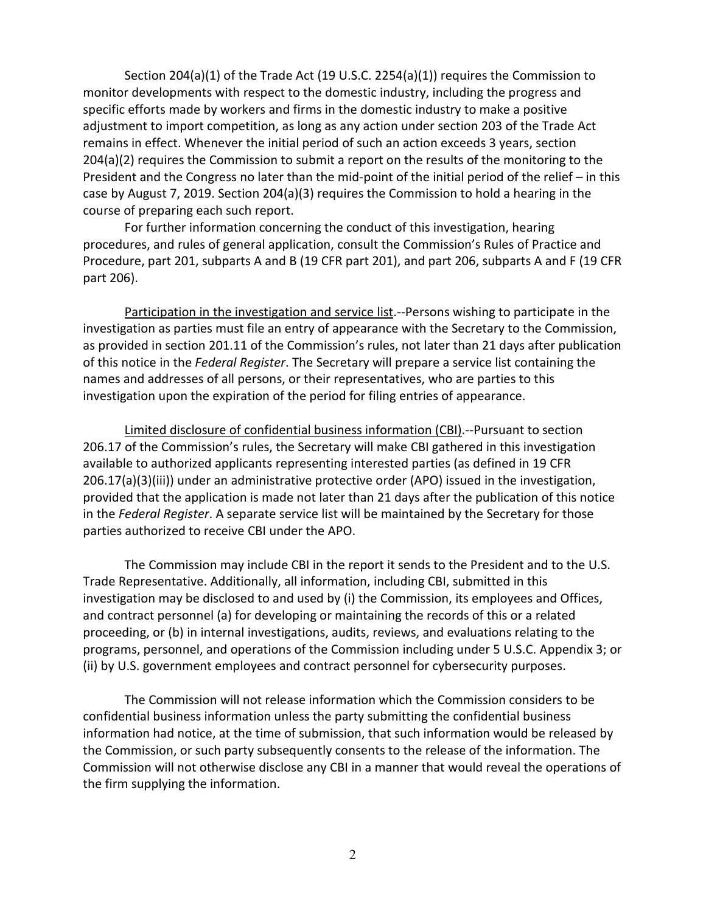Section 204(a)(1) of the Trade Act (19 U.S.C. 2254(a)(1)) requires the Commission to monitor developments with respect to the domestic industry, including the progress and specific efforts made by workers and firms in the domestic industry to make a positive adjustment to import competition, as long as any action under section 203 of the Trade Act remains in effect. Whenever the initial period of such an action exceeds 3 years, section 204(a)(2) requires the Commission to submit a report on the results of the monitoring to the President and the Congress no later than the mid-point of the initial period of the relief – in this case by August 7, 2019. Section 204(a)(3) requires the Commission to hold a hearing in the course of preparing each such report.

For further information concerning the conduct of this investigation, hearing procedures, and rules of general application, consult the Commission's Rules of Practice and Procedure, part 201, subparts A and B (19 CFR part 201), and part 206, subparts A and F (19 CFR part 206).

Participation in the investigation and service list.--Persons wishing to participate in the investigation as parties must file an entry of appearance with the Secretary to the Commission, as provided in section 201.11 of the Commission's rules, not later than 21 days after publication of this notice in the *Federal Register*. The Secretary will prepare a service list containing the names and addresses of all persons, or their representatives, who are parties to this investigation upon the expiration of the period for filing entries of appearance.

Limited disclosure of confidential business information (CBI).--Pursuant to section 206.17 of the Commission's rules, the Secretary will make CBI gathered in this investigation available to authorized applicants representing interested parties (as defined in 19 CFR 206.17(a)(3)(iii)) under an administrative protective order (APO) issued in the investigation, provided that the application is made not later than 21 days after the publication of this notice in the *Federal Register*. A separate service list will be maintained by the Secretary for those parties authorized to receive CBI under the APO.

The Commission may include CBI in the report it sends to the President and to the U.S. Trade Representative. Additionally, all information, including CBI, submitted in this investigation may be disclosed to and used by (i) the Commission, its employees and Offices, and contract personnel (a) for developing or maintaining the records of this or a related proceeding, or (b) in internal investigations, audits, reviews, and evaluations relating to the programs, personnel, and operations of the Commission including under 5 U.S.C. Appendix 3; or (ii) by U.S. government employees and contract personnel for cybersecurity purposes.

The Commission will not release information which the Commission considers to be confidential business information unless the party submitting the confidential business information had notice, at the time of submission, that such information would be released by the Commission, or such party subsequently consents to the release of the information. The Commission will not otherwise disclose any CBI in a manner that would reveal the operations of the firm supplying the information.